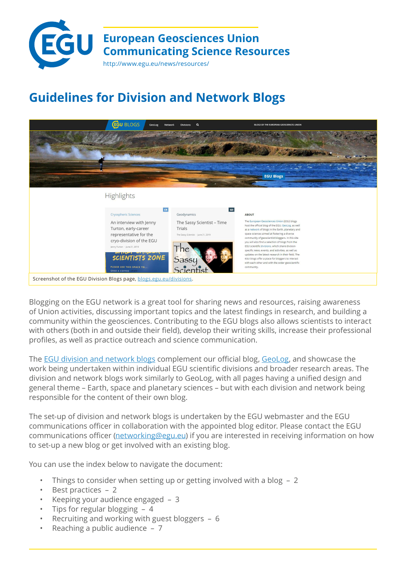

# **Guidelines for Division and Network Blogs**



Blogging on the EGU network is a great tool for sharing news and resources, raising awareness of Union activities, discussing important topics and the latest findings in research, and building a community within the geosciences. Contributing to the EGU blogs also allows scientists to interact with others (both in and outside their field), develop their writing skills, increase their professional profiles, as well as practice outreach and science communication.

The [EGU division and network blogs](http://blogs.egu.eu/) complement our official blog, [GeoLog,](http://geolog.egu.eu/) and showcase the work being undertaken within individual EGU scientific divisions and broader research areas. The division and network blogs work similarly to GeoLog, with all pages having a unified design and general theme – Earth, space and planetary sciences – but with each division and network being responsible for the content of their own blog.

The set-up of division and network blogs is undertaken by the EGU webmaster and the EGU communications officer in collaboration with the appointed blog editor. Please contact the EGU communications officer ([networking@egu.eu](mailto:networking%40egu.eu?subject=EGU%20blogs)) if you are interested in receiving information on how to set-up a new blog or get involved with an existing blog.

You can use the index below to navigate the document:

- [Things to consider when setting up or getting involved with a blog 2](#page-1-0)
- [Best practices](#page-1-0) 2
- [Keeping your audience engaged](#page-2-0) 3
- [Tips for regular blogging 4](#page-3-0)
- [Recruiting and working with guest bloggers 6](#page-5-0)
- [Reaching a public audience 7](#page-6-0)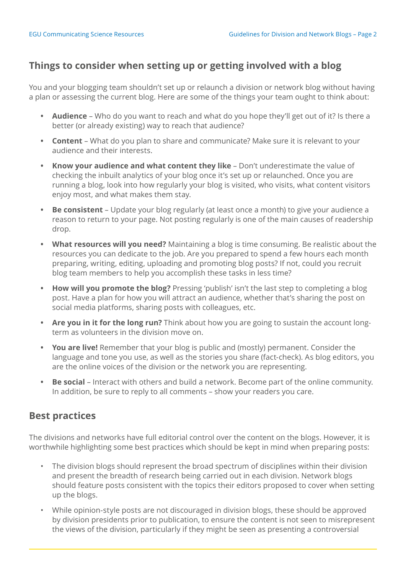# <span id="page-1-0"></span>**Things to consider when setting up or getting involved with a blog**

You and your blogging team shouldn't set up or relaunch a division or network blog without having a plan or assessing the current blog. Here are some of the things your team ought to think about:

- **• Audience** Who do you want to reach and what do you hope they'll get out of it? Is there a better (or already existing) way to reach that audience?
- **• Content** What do you plan to share and communicate? Make sure it is relevant to your audience and their interests.
- **• Know your audience and what content they like** Don't underestimate the value of checking the inbuilt analytics of your blog once it's set up or relaunched. Once you are running a blog, look into how regularly your blog is visited, who visits, what content visitors enjoy most, and what makes them stay.
- **• Be consistent**  Update your blog regularly (at least once a month) to give your audience a reason to return to your page. Not posting regularly is one of the main causes of readership drop.
- **• What resources will you need?** Maintaining a blog is time consuming. Be realistic about the resources you can dedicate to the job. Are you prepared to spend a few hours each month preparing, writing, editing, uploading and promoting blog posts? If not, could you recruit blog team members to help you accomplish these tasks in less time?
- **• How will you promote the blog?** Pressing 'publish' isn't the last step to completing a blog post. Have a plan for how you will attract an audience, whether that's sharing the post on social media platforms, sharing posts with colleagues, etc.
- **• Are you in it for the long run?** Think about how you are going to sustain the account longterm as volunteers in the division move on.
- **• You are live!** Remember that your blog is public and (mostly) permanent. Consider the language and tone you use, as well as the stories you share (fact-check). As blog editors, you are the online voices of the division or the network you are representing.
- **• Be social**  Interact with others and build a network. Become part of the online community. In addition, be sure to reply to all comments – show your readers you care.

### **Best practices**

The divisions and networks have full editorial control over the content on the blogs. However, it is worthwhile highlighting some best practices which should be kept in mind when preparing posts:

- The division blogs should represent the broad spectrum of disciplines within their division and present the breadth of research being carried out in each division. Network blogs should feature posts consistent with the topics their editors proposed to cover when setting up the blogs.
- While opinion-style posts are not discouraged in division blogs, these should be approved by division presidents prior to publication, to ensure the content is not seen to misrepresent the views of the division, particularly if they might be seen as presenting a controversial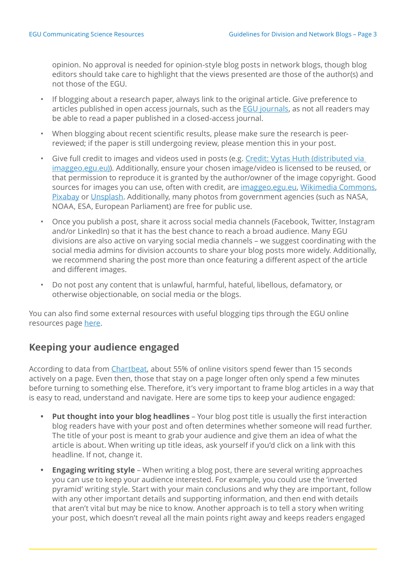<span id="page-2-0"></span>opinion. No approval is needed for opinion-style blog posts in network blogs, though blog editors should take care to highlight that the views presented are those of the author(s) and not those of the EGU.

- If blogging about a research paper, always link to the original article. Give preference to articles published in open access journals, such as the [EGU journals](https://www.egu.eu/publications/open-access-journals/), as not all readers may be able to read a paper published in a closed-access journal.
- When blogging about recent scientific results, please make sure the research is peerreviewed; if the paper is still undergoing review, please mention this in your post.
- Give full credit to images and videos used in posts (e.g. Credit: Vytas Huth (distributed via [imaggeo.egu.eu\)](https://blogs.egu.eu/geolog/2016/08/22/imaggeo-on-mondays-counting-stars/)). Additionally, ensure your chosen image/video is licensed to be reused, or that permission to reproduce it is granted by the author/owner of the image copyright. Good sources for images you can use, often with credit, are *imaggeo.egu.eu*, [Wikimedia Commons](https://commons.wikimedia.org/wiki/Main_Page), [Pixabay](https://pixabay.com/) or [Unsplash](https://unsplash.com/). Additionally, many photos from government agencies (such as NASA, NOAA, ESA, European Parliament) are free for public use.
- Once you publish a post, share it across social media channels (Facebook, Twitter, Instagram and/or LinkedIn) so that it has the best chance to reach a broad audience. Many EGU divisions are also active on varying social media channels – we suggest coordinating with the social media admins for division accounts to share your blog posts more widely. Additionally, we recommend sharing the post more than once featuring a different aspect of the article and different images.
- Do not post any content that is unlawful, harmful, hateful, libellous, defamatory, or otherwise objectionable, on social media or the blogs.

You can also find some external resources with useful blogging tips through the EGU online resources page [here](https://www.egu.eu/ecs/resources/?limit=10&sortby=&keywords=blog&page=).

### **Keeping your audience engaged**

According to data from [Chartbeat,](http://time.com/12933/what-you-think-you-know-about-the-web-is-wrong/) about 55% of online visitors spend fewer than 15 seconds actively on a page. Even then, those that stay on a page longer often only spend a few minutes before turning to something else. Therefore, it's very important to frame blog articles in a way that is easy to read, understand and navigate. Here are some tips to keep your audience engaged:

- **• Put thought into your blog headlines** Your blog post title is usually the first interaction blog readers have with your post and often determines whether someone will read further. The title of your post is meant to grab your audience and give them an idea of what the article is about. When writing up title ideas, ask yourself if you'd click on a link with this headline. If not, change it.
- **• Engaging writing style** When writing a blog post, there are several writing approaches you can use to keep your audience interested. For example, you could use the 'inverted pyramid' writing style. Start with your main conclusions and why they are important, follow with any other important details and supporting information, and then end with details that aren't vital but may be nice to know. Another approach is to tell a story when writing your post, which doesn't reveal all the main points right away and keeps readers engaged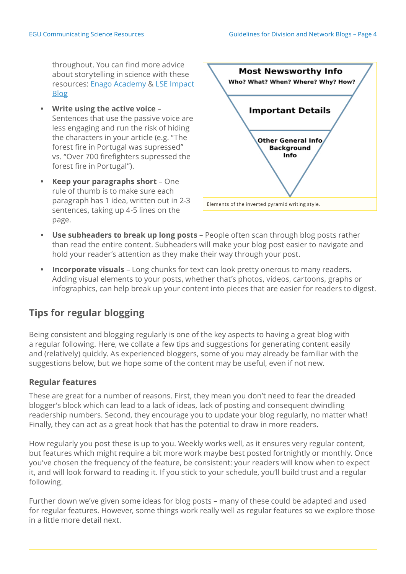<span id="page-3-0"></span>throughout. You can find more advice about storytelling in science with these resources: [Enago Academy](https://www.enago.com/academy/storytelling-in-science-communicating-your-research-effectively/) & LSE Impact [Blog](https://blogs.lse.ac.uk/impactofsocialsciences/2018/05/21/writing-a-page-turner-how-to-tell-a-story-in-your-scientific-paper/)

- **• Write using the active voice** Sentences that use the passive voice are less engaging and run the risk of hiding the characters in your article (e.g. "The forest fire in Portugal was supressed" vs. "Over 700 firefighters supressed the forest fire in Portugal").
- **• Keep your paragraphs short** One rule of thumb is to make sure each paragraph has 1 idea, written out in 2-3 sentences, taking up 4-5 lines on the page.



- **• Use subheaders to break up long posts** People often scan through blog posts rather than read the entire content. Subheaders will make your blog post easier to navigate and hold your reader's attention as they make their way through your post.
- **• Incorporate visuals** Long chunks for text can look pretty onerous to many readers. Adding visual elements to your posts, whether that's photos, videos, cartoons, graphs or infographics, can help break up your content into pieces that are easier for readers to digest.

# **Tips for regular blogging**

Being consistent and blogging regularly is one of the key aspects to having a great blog with a regular following. Here, we collate a few tips and suggestions for generating content easily and (relatively) quickly. As experienced bloggers, some of you may already be familiar with the suggestions below, but we hope some of the content may be useful, even if not new.

#### **Regular features**

These are great for a number of reasons. First, they mean you don't need to fear the dreaded blogger's block which can lead to a lack of ideas, lack of posting and consequent dwindling readership numbers. Second, they encourage you to update your blog regularly, no matter what! Finally, they can act as a great hook that has the potential to draw in more readers.

How regularly you post these is up to you. Weekly works well, as it ensures very regular content, but features which might require a bit more work maybe best posted fortnightly or monthly. Once you've chosen the frequency of the feature, be consistent: your readers will know when to expect it, and will look forward to reading it. If you stick to your schedule, you'll build trust and a regular following.

Further down we've given some ideas for blog posts – many of these could be adapted and used for regular features. However, some things work really well as regular features so we explore those in a little more detail next.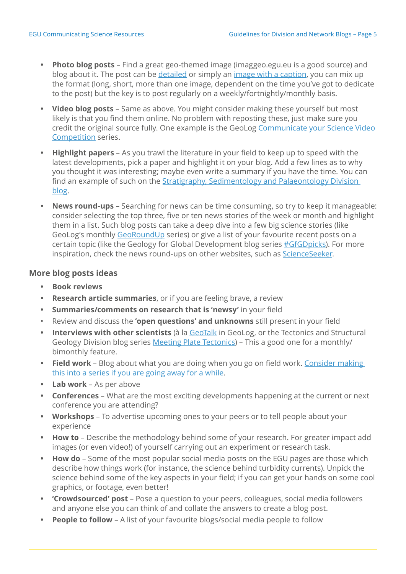- **• Photo blog posts** Find a great geo-themed image (imaggeo.egu.eu is a good source) and blog about it. The post can be [detailed](https://blogs.egu.eu/geolog/2018/06/04/imaggeo-on-mondays-a-colombian-myth-with-geologic-origins/) or simply an [image with a caption](https://blogs.egu.eu/geolog/2019/03/18/imaggeo-on-mondays-northern-lights-in-northern-norway/), you can mix up the format (long, short, more than one image, dependent on the time you've got to dedicate to the post) but the key is to post regularly on a weekly/fortnightly/monthly basis.
- **• Video blog posts** Same as above. You might consider making these yourself but most likely is that you find them online. No problem with reposting these, just make sure you credit the original source fully. One example is the GeoLog [Communicate your Science Video](https://blogs.egu.eu/geolog/2017/03/15/communicate-your-science-video-competition-finalists-2017-time-to-get-voting/)  [Competition](https://blogs.egu.eu/geolog/2017/03/15/communicate-your-science-video-competition-finalists-2017-time-to-get-voting/) series.
- **• Highlight papers** As you trawl the literature in your field to keep up to speed with the latest developments, pick a paper and highlight it on your blog. Add a few lines as to why you thought it was interesting; maybe even write a summary if you have the time. You can find an example of such on the [Stratigraphy, Sedimentology and Palaeontology Division](https://blogs.egu.eu/divisions/ssp/2019/05/01/paleontology-is-sexy-a-selection-of-recent-discoveries/)  [blog](https://blogs.egu.eu/divisions/ssp/2019/05/01/paleontology-is-sexy-a-selection-of-recent-discoveries/).
- **• News round-ups** Searching for news can be time consuming, so try to keep it manageable: consider selecting the top three, five or ten news stories of the week or month and highlight them in a list. Such blog posts can take a deep dive into a few big science stories (like GeoLog's monthly [GeoRoundUp](https://blogs.egu.eu/geolog/category/regular-features/georoundup/) series) or give a list of your favourite recent posts on a certain topic (like the Geology for Global Development blog series [#GfGDpicks](https://blogs.egu.eu/network/gfgd/2019/05/23/may-2019-gfgdpicks-scicomm/)). For more inspiration, check the news round-ups on other websites, such as [ScienceSeeker](http://www.scienceseeker.org/).

#### **More blog posts ideas**

- **• Book reviews**
- **• Research article summaries**, or if you are feeling brave, a review
- **• Summaries/comments on research that is 'newsy'** in your field
- Review and discuss the **'open questions' and unknowns** still present in your field
- **• Interviews with other scientists** (à la [GeoTalk](http://blogs.egu.eu/geolog/category/regular-features/geotalk/) in GeoLog, or the Tectonics and Structural Geology Division blog series [Meeting Plate Tectonics\)](https://blogs.egu.eu/divisions/ts/2018/10/23/meeting-plate-tectonics/) – This a good one for a monthly/ bimonthly feature.
- **• Field work** Blog about what you are doing when you go on field work. [Consider making](https://blogs.egu.eu/divisions/as/2018/08/10/into-the-mist-of-studying-the-mystery-of-arctic-low-level-clouds/)  [this into a series if you are going away for a while.](https://blogs.egu.eu/divisions/as/2018/08/10/into-the-mist-of-studying-the-mystery-of-arctic-low-level-clouds/)
- **• Lab work**  As per above
- **• Conferences** What are the most exciting developments happening at the current or next conference you are attending?
- **• Workshops** To advertise upcoming ones to your peers or to tell people about your experience
- **• How to** Describe the methodology behind some of your research. For greater impact add images (or even video!) of yourself carrying out an experiment or research task.
- **• How do** Some of the most popular social media posts on the EGU pages are those which describe how things work (for instance, the science behind turbidity currents). Unpick the science behind some of the key aspects in your field; if you can get your hands on some cool graphics, or footage, even better!
- **• 'Crowdsourced' post** Pose a question to your peers, colleagues, social media followers and anyone else you can think of and collate the answers to create a blog post.
- **• People to follow** A list of your favourite blogs/social media people to follow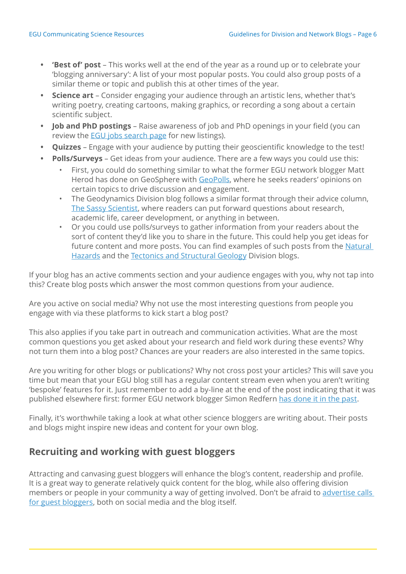- <span id="page-5-0"></span>**• 'Best of' post** – This works well at the end of the year as a round up or to celebrate your 'blogging anniversary': A list of your most popular posts. You could also group posts of a similar theme or topic and publish this at other times of the year.
- **• Science art** Consider engaging your audience through an artistic lens, whether that's writing poetry, creating cartoons, making graphics, or recording a song about a certain scientific subject.
- **• Job and PhD postings** Raise awareness of job and PhD openings in your field (you can review the **EGU** jobs search page for new listings).
- **• Quizzes** Engage with your audience by putting their geoscientific knowledge to the test!
- **• Polls/Surveys** Get ideas from your audience. There are a few ways you could use this:
	- First, you could do something similar to what the former EGU network blogger Matt Herod has done on GeoSphere with [GeoPolls,](http://blogs.egu.eu/network/geosphere/category/geopoll/) where he seeks readers' opinions on certain topics to drive discussion and engagement.
	- The Geodynamics Division blog follows a similar format through their advice column, [The Sassy Scientist](https://blogs.egu.eu/divisions/gd/category/ask-the-sassy-scientist/), where readers can put forward questions about research, academic life, career development, or anything in between.
	- Or you could use polls/surveys to gather information from your readers about the sort of content they'd like you to share in the future. This could help you get ideas for future content and more posts. You can find examples of such posts from the Natural [Hazards](https://blogs.egu.eu/divisions/nh/2019/05/14/our-audience-on-stage-new-nhet-blog-column/) and the [Tectonics and Structural Geology](https://blogs.egu.eu/divisions/ts/2019/05/10/give-us-your-feedback-on-our-blog/) Division blogs.

If your blog has an active comments section and your audience engages with you, why not tap into this? Create blog posts which answer the most common questions from your audience.

Are you active on social media? Why not use the most interesting questions from people you engage with via these platforms to kick start a blog post?

This also applies if you take part in outreach and communication activities. What are the most common questions you get asked about your research and field work during these events? Why not turn them into a blog post? Chances are your readers are also interested in the same topics.

Are you writing for other blogs or publications? Why not cross post your articles? This will save you time but mean that your EGU blog still has a regular content stream even when you aren't writing 'bespoke' features for it. Just remember to add a by-line at the end of the post indicating that it was published elsewhere first: former EGU network blogger Simon Redfern [has done it in the past.](https://blogs.egu.eu/network/atomsi/2015/04/25/why-kathmandu-was-so-vulnerable/)

Finally, it's worthwhile taking a look at what other science bloggers are writing about. Their posts and blogs might inspire new ideas and content for your own blog.

## **Recruiting and working with guest bloggers**

Attracting and canvasing guest bloggers will enhance the blog's content, readership and profile. It is a great way to generate relatively quick content for the blog, while also offering division members or people in your community a way of getting involved. Don't be afraid to [advertise calls](http://blogs.egu.eu/geolog/2015/08/05/the-egu-network-blogs-are-looking-for-guest-contributions/)  [for guest bloggers](http://blogs.egu.eu/geolog/2015/08/05/the-egu-network-blogs-are-looking-for-guest-contributions/), both on social media and the blog itself.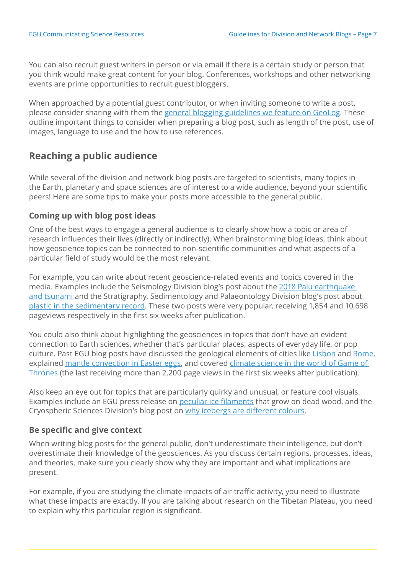<span id="page-6-0"></span>You can also recruit guest writers in person or via email if there is a certain study or person that you think would make great content for your blog. Conferences, workshops and other networking events are prime opportunities to recruit guest bloggers.

When approached by a potential guest contributor, or when inviting someone to write a post, please consider sharing with them the [general blogging guidelines we feature on GeoLog](http://blogs.egu.eu/geolog/submit-a-post/). These outline important things to consider when preparing a blog post, such as length of the post, use of images, language to use and the how to use references.

### **Reaching a public audience**

While several of the division and network blog posts are targeted to scientists, many topics in the Earth, planetary and space sciences are of interest to a wide audience, beyond your scientific peers! Here are some tips to make your posts more accessible to the general public.

#### **Coming up with blog post ideas**

One of the best ways to engage a general audience is to clearly show how a topic or area of research influences their lives (directly or indirectly). When brainstorming blog ideas, think about how geoscience topics can be connected to non-scientific communities and what aspects of a particular field of study would be the most relevant.

For example, you can write about recent geoscience-related events and topics covered in the media. Examples include the Seismology Division blog's post about the [2018 Palu earthquake](https://blogs.egu.eu/divisions/sm/2018/10/08/palu-2018-science-and-surprise-behind-the-earthquake-and-tsunami/)  [and tsunami](https://blogs.egu.eu/divisions/sm/2018/10/08/palu-2018-science-and-surprise-behind-the-earthquake-and-tsunami/) and the Stratigraphy, Sedimentology and Palaeontology Division blog's post about [plastic in the sedimentary record](https://blogs.egu.eu/divisions/ssp/2019/01/09/the-plastocene-plastic-in-the-sedimentary-record/). These two posts were very popular, receiving 1,854 and 10,698 pageviews respectively in the first six weeks after publication.

You could also think about highlighting the geosciences in topics that don't have an evident connection to Earth sciences, whether that's particular places, aspects of everyday life, or pop culture. Past EGU blog posts have discussed the geological elements of cities like [Lisbon](https://blogs.egu.eu/divisions/ts/2018/11/03/lisbon-at-the-down-of-modern-geosciences/) and [Rome,](https://blogs.egu.eu/divisions/ts/2017/12/03/how-rome-and-its-geology-are-strongly-connected/) explained [mantle convection in Easter eggs](https://blogs.egu.eu/divisions/gd/2018/03/28/convection-in-eggs/), and covered [climate science in the world of Game of](https://blogs.egu.eu/geolog/2019/05/17/geosciences-column-climate-modelling-game-of-thrones/)  [Thrones](https://blogs.egu.eu/geolog/2019/05/17/geosciences-column-climate-modelling-game-of-thrones/) (the last receiving more than 2,200 page views in the first six weeks after publication).

Also keep an eye out for topics that are particularly quirky and unusual, or feature cool visuals. Examples include an EGU press release on [peculiar ice filaments](https://www.egu.eu/news/180/fungus-shapes-hair-ice-researchers-identify-fungus-responsible-for-peculiar-ice-filaments-that-grow-on-dead-wood/) that grow on dead wood, and the Cryospheric Sciences Division's blog post on [why icebergs are different colours](https://blogs.egu.eu/divisions/cr/2018/03/30/image-of-the-week-super-cool-colours-of-icebergs/).

#### **Be specific and give context**

When writing blog posts for the general public, don't underestimate their intelligence, but don't overestimate their knowledge of the geosciences. As you discuss certain regions, processes, ideas, and theories, make sure you clearly show why they are important and what implications are present.

For example, if you are studying the climate impacts of air traffic activity, you need to illustrate what these impacts are exactly. If you are talking about research on the Tibetan Plateau, you need to explain why this particular region is significant.